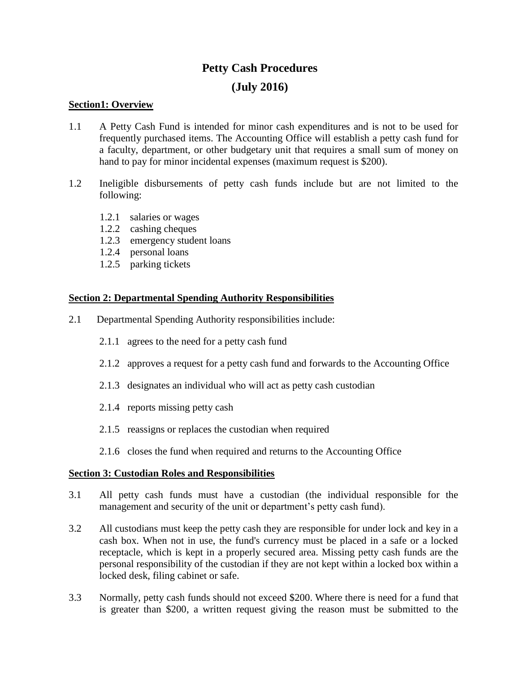# **Petty Cash Procedures (July 2016)**

# **Section1: Overview**

- 1.1 A Petty Cash Fund is intended for minor cash expenditures and is not to be used for frequently purchased items. The Accounting Office will establish a petty cash fund for a faculty, department, or other budgetary unit that requires a small sum of money on hand to pay for minor incidental expenses (maximum request is \$200).
- 1.2 Ineligible disbursements of petty cash funds include but are not limited to the following:
	- 1.2.1 salaries or wages
	- 1.2.2 cashing cheques
	- 1.2.3 emergency student loans
	- 1.2.4 personal loans
	- 1.2.5 parking tickets

## **Section 2: Departmental Spending Authority Responsibilities**

- 2.1 Departmental Spending Authority responsibilities include:
	- 2.1.1 agrees to the need for a petty cash fund
	- 2.1.2 approves a request for a petty cash fund and forwards to the Accounting Office
	- 2.1.3 designates an individual who will act as petty cash custodian
	- 2.1.4 reports missing petty cash
	- 2.1.5 reassigns or replaces the custodian when required
	- 2.1.6 closes the fund when required and returns to the Accounting Office

## **Section 3: Custodian Roles and Responsibilities**

- 3.1 All petty cash funds must have a custodian (the individual responsible for the management and security of the unit or department's petty cash fund).
- 3.2 All custodians must keep the petty cash they are responsible for under lock and key in a cash box. When not in use, the fund's currency must be placed in a safe or a locked receptacle, which is kept in a properly secured area. Missing petty cash funds are the personal responsibility of the custodian if they are not kept within a locked box within a locked desk, filing cabinet or safe.
- 3.3 Normally, petty cash funds should not exceed \$200. Where there is need for a fund that is greater than \$200, a written request giving the reason must be submitted to the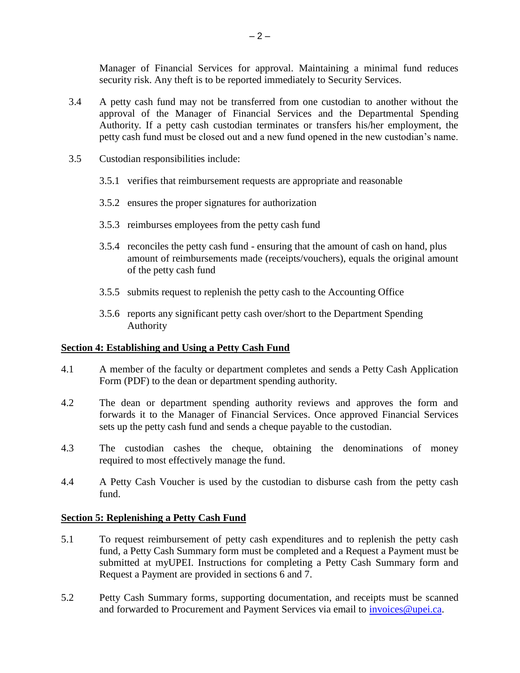Manager of Financial Services for approval. Maintaining a minimal fund reduces security risk. Any theft is to be reported immediately to Security Services.

- 3.4 A petty cash fund may not be transferred from one custodian to another without the approval of the Manager of Financial Services and the Departmental Spending Authority. If a petty cash custodian terminates or transfers his/her employment, the petty cash fund must be closed out and a new fund opened in the new custodian's name.
- 3.5 Custodian responsibilities include:
	- 3.5.1 verifies that reimbursement requests are appropriate and reasonable
	- 3.5.2 ensures the proper signatures for authorization
	- 3.5.3 reimburses employees from the petty cash fund
	- 3.5.4 reconciles the petty cash fund ensuring that the amount of cash on hand, plus amount of reimbursements made (receipts/vouchers), equals the original amount of the petty cash fund
	- 3.5.5 submits request to replenish the petty cash to the Accounting Office
	- 3.5.6 reports any significant petty cash over/short to the Department Spending Authority

## **Section 4: Establishing and Using a Petty Cash Fund**

- 4.1 A member of the faculty or department completes and sends a Petty Cash Application Form (PDF) to the dean or department spending authority.
- 4.2 The dean or department spending authority reviews and approves the form and forwards it to the Manager of Financial Services. Once approved Financial Services sets up the petty cash fund and sends a cheque payable to the custodian.
- 4.3 The custodian cashes the cheque, obtaining the denominations of money required to most effectively manage the fund.
- 4.4 A Petty Cash Voucher is used by the custodian to disburse cash from the petty cash fund.

## **Section 5: Replenishing a Petty Cash Fund**

- 5.1 To request reimbursement of petty cash expenditures and to replenish the petty cash fund, a Petty Cash Summary form must be completed and a Request a Payment must be submitted at myUPEI. Instructions for completing a Petty Cash Summary form and Request a Payment are provided in sections 6 and 7.
- 5.2 Petty Cash Summary forms, supporting documentation, and receipts must be scanned and forwarded to Procurement and Payment Services via email to *invoices@upei.ca.*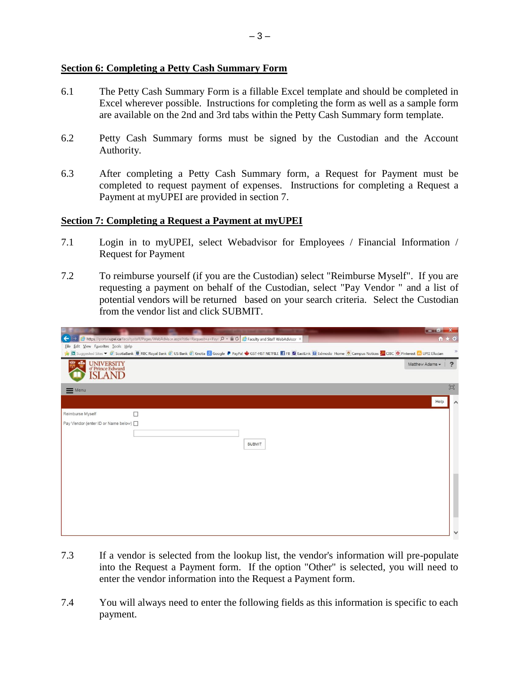# **Section 6: Completing a Petty Cash Summary Form**

- 6.1 The Petty Cash Summary Form is a fillable Excel template and should be completed in Excel wherever possible. Instructions for completing the form as well as a sample form are available on the 2nd and 3rd tabs within the Petty Cash Summary form template.
- 6.2 Petty Cash Summary forms must be signed by the Custodian and the Account Authority.
- 6.3 After completing a Petty Cash Summary form, a Request for Payment must be completed to request payment of expenses. Instructions for completing a Request a Payment at myUPEI are provided in section 7.

## **Section 7: Completing a Request a Payment at myUPEI**

- 7.1 Login in to myUPEI, select Webadvisor for Employees / Financial Information / Request for Payment
- 7.2 To reimburse yourself (if you are the Custodian) select "Reimburse Myself". If you are requesting a payment on behalf of the Custodian, select "Pay Vendor " and a list of potential vendors will be returned based on your search criteria. Select the Custodian from the vendor list and click SUBMIT.

|                                                               |                                                                                                                          |               | $- 0$ $X$                                                                                                                                                                                                                                                                                                                 |
|---------------------------------------------------------------|--------------------------------------------------------------------------------------------------------------------------|---------------|---------------------------------------------------------------------------------------------------------------------------------------------------------------------------------------------------------------------------------------------------------------------------------------------------------------------------|
| ←                                                             | inttps://portal.upei.ca/facultystaff/Pages/WebAdvisor.aspx?title=Request+a+Payr Q - A C C Faculty and Staff WebAdvisor × |               | $A \star 0$                                                                                                                                                                                                                                                                                                               |
| Eile Edit View Favorites Tools Help                           |                                                                                                                          |               |                                                                                                                                                                                                                                                                                                                           |
|                                                               |                                                                                                                          |               | $\mathcal{V}$<br><b>D</b> Suggested Sites < <b>B</b> ScotiaBank <b>B</b> RBC Royal Bank <b>B</b> US Bank <b>B</b> US Bank <b>B</b> Nootia <b>S</b> Google <b>P</b> PayPal We GST-HST NETFILE <b>f</b> FB <b>Z</b> EastLink <b>B</b> Edmodo Home <sup>19</sup> Campus Notices <b>C</b> O Pinterest <b>Co</b> UPEI Ellucian |
| <b>UNIVERSITY</b><br>of Prince Edward<br>alfa<br><b>SLAND</b> |                                                                                                                          |               | Matthew Adams -<br>2                                                                                                                                                                                                                                                                                                      |
| $\equiv$ Menu                                                 |                                                                                                                          |               | $\Xi$                                                                                                                                                                                                                                                                                                                     |
|                                                               |                                                                                                                          |               | Help                                                                                                                                                                                                                                                                                                                      |
| Reimburse Myself                                              | П                                                                                                                        |               |                                                                                                                                                                                                                                                                                                                           |
| Pay Vendor (enter ID or Name below) □                         |                                                                                                                          |               |                                                                                                                                                                                                                                                                                                                           |
|                                                               |                                                                                                                          | <b>SUBMIT</b> |                                                                                                                                                                                                                                                                                                                           |
|                                                               |                                                                                                                          |               |                                                                                                                                                                                                                                                                                                                           |
|                                                               |                                                                                                                          |               | $\checkmark$                                                                                                                                                                                                                                                                                                              |

- 7.3 If a vendor is selected from the lookup list, the vendor's information will pre-populate into the Request a Payment form. If the option "Other" is selected, you will need to enter the vendor information into the Request a Payment form.
- 7.4 You will always need to enter the following fields as this information is specific to each payment.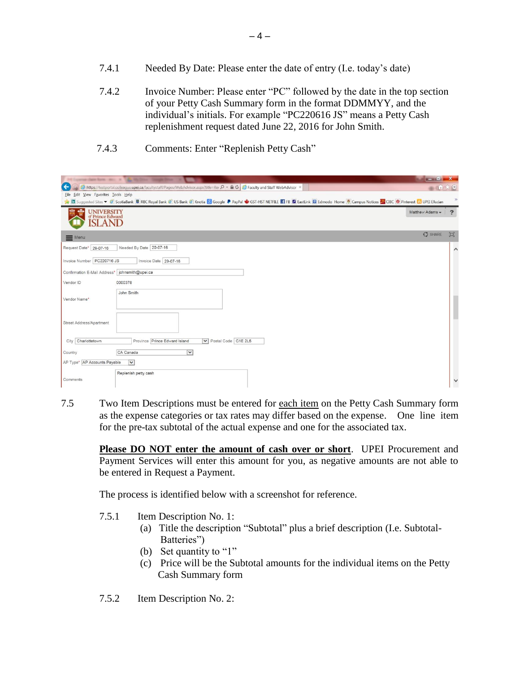- 7.4.1 Needed By Date: Please enter the date of entry (I.e. today's date)
- 7.4.2 Invoice Number: Please enter "PC" followed by the date in the top section of your Petty Cash Summary form in the format DDMMYY, and the individual's initials. For example "PC220616 JS" means a Petty Cash replenishment request dated June 22, 2016 for John Smith.
- 7.4.3 Comments: Enter "Replenish Petty Cash"

|                                                               | even there have twell in the McDine Completion                                                                                                                                                                                                | $-$ 0 $ X-$     |                         |
|---------------------------------------------------------------|-----------------------------------------------------------------------------------------------------------------------------------------------------------------------------------------------------------------------------------------------|-----------------|-------------------------|
| $\leftarrow$                                                  | Shttps://testportal.colleague.upei.ca/facultystaff/Pages/WebAdvisor.aspx?title=Rei Ø - A C   G Faculty and Staff WebAdvisor ×                                                                                                                 | $\ln x \otimes$ |                         |
| Eile Edit View Favorites Tools Help                           | <b>D</b> Suggested Sites ▼ D ScotiaBank <b>D</b> RBC Royal Bank (D US Bank (D) US Bank (D) S Bank B Google P PayPal W GST-HST NETFILE T FB <b>Z</b> EastLink <b>B</b> Edmodo Home (D) Campus Notices and CDEC (O) Pinterest (D) UPET Ellucian |                 |                         |
| <b>olla</b><br>UNIVERSITY<br>of Prince Edward<br><b>SLAND</b> |                                                                                                                                                                                                                                               | Matthew Adams - | $\overline{\mathbf{z}}$ |
| $\equiv$ Menu                                                 |                                                                                                                                                                                                                                               | $O$ SHARE       | 回                       |
| Request Date* 29-07-16                                        | Needed By Date 20-07-16                                                                                                                                                                                                                       |                 | $\hat{}$                |
| Invoice Number   PC220716 JS                                  | Invoice Date 29-07-16                                                                                                                                                                                                                         |                 |                         |
| Confirmation E-Mail Address*   johnsmith@upei.ca              |                                                                                                                                                                                                                                               |                 |                         |
| Vendor ID                                                     | 0000378                                                                                                                                                                                                                                       |                 |                         |
| Vendor Name*                                                  | John Smith                                                                                                                                                                                                                                    |                 |                         |
| Street Address/Apartment                                      |                                                                                                                                                                                                                                               |                 |                         |
| Charlottetown<br>City                                         | Postal Code C1E 2L5<br>Province Prince Edward Island                                                                                                                                                                                          |                 |                         |
| Country                                                       | $\vert \mathbf{v} \vert$<br>CA Canada                                                                                                                                                                                                         |                 |                         |
| AP Type* AP Accounts Payable                                  | $\overline{\mathbf{v}}$                                                                                                                                                                                                                       |                 |                         |
| Comments                                                      | Replenish petty cash                                                                                                                                                                                                                          |                 | $\checkmark$            |

7.5 Two Item Descriptions must be entered for each item on the Petty Cash Summary form as the expense categories or tax rates may differ based on the expense. One line item for the pre-tax subtotal of the actual expense and one for the associated tax.

**Please DO NOT enter the amount of cash over or short**. UPEI Procurement and Payment Services will enter this amount for you, as negative amounts are not able to be entered in Request a Payment.

The process is identified below with a screenshot for reference.

- 7.5.1 Item Description No. 1:
	- (a) Title the description "Subtotal" plus a brief description (I.e. Subtotal- Batteries")
	- (b) Set quantity to "1"
	- (c) Price will be the Subtotal amounts for the individual items on the Petty Cash Summary form
- 7.5.2 Item Description No. 2: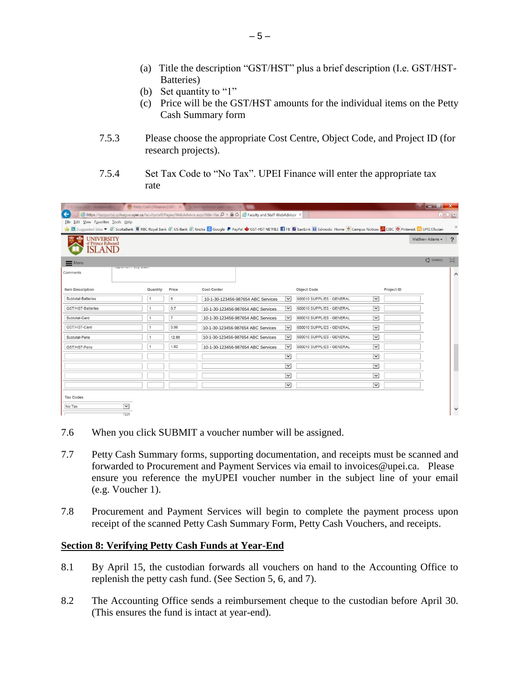- (a) Title the description "GST/HST" plus a brief description (I.e. GST/HST- Batteries)
- (b) Set quantity to "1"
- (c) Price will be the GST/HST amounts for the individual items on the Petty Cash Summary form
- 7.5.3 Please choose the appropriate Cost Centre, Object Code, and Project ID (for research projects).
- 7.5.4 Set Tax Code to "No Tax". UPEI Finance will enter the appropriate tax rate

| $\leftarrow$<br>File Edit View Favorites Tools Help | B hmy Cash   Finance   UFC X 15   Ballinet tal Brace apet |                |             | https://testportal.colleague.upei.ca/facultystaff/Pages/WebAdvisor.aspx?title=Rei Q ~ A C C Faculty and Staff WebAdvisor > |                          |                                                                                                                                                                                         |                         |            |                 | $-10X$<br>命大众 |
|-----------------------------------------------------|-----------------------------------------------------------|----------------|-------------|----------------------------------------------------------------------------------------------------------------------------|--------------------------|-----------------------------------------------------------------------------------------------------------------------------------------------------------------------------------------|-------------------------|------------|-----------------|---------------|
| <b>UNIVERSITY</b>                                   |                                                           |                |             |                                                                                                                            |                          | E Cuggested Sites > ScotiaBank B RBC Royal Bank 3 US Bank 3 Knotia & Google P PayPal SCT-HST NETFILE F FB Z EastLink B Edmodo Home U Campus Notices C CIBC O Pinterest ED UPEI Ellucian |                         |            | Matthew Adams - | $\sqrt{2}$    |
| of Prince Edward<br><b>SLAND</b>                    |                                                           |                |             |                                                                                                                            |                          |                                                                                                                                                                                         |                         |            |                 |               |
| $\equiv$ Menu                                       |                                                           |                |             |                                                                                                                            |                          |                                                                                                                                                                                         |                         |            | $O$ SHARE       | 回             |
| Comments                                            | Competitives senate in Connection Services                |                |             |                                                                                                                            |                          |                                                                                                                                                                                         |                         |            |                 | $\wedge$      |
| <b>Item Description</b>                             | Quantity                                                  | Price          | Cost Center |                                                                                                                            |                          | Object Code                                                                                                                                                                             |                         | Project ID |                 |               |
| Subtotal-Batteries                                  | $\overline{1}$                                            | 5              |             | 10-1-30-123456-987654 ABC Services                                                                                         | $\check{ }$              | 600010 SUPPLIES - GENERAL                                                                                                                                                               | $\overline{\mathbf{v}}$ |            |                 |               |
| GST/HST-Batteries                                   | $\overline{1}$                                            | 0.7            |             | 10-1-30-123456-987654 ABC Services                                                                                         | $\check{ }$              | 600010 SUPPLIES - GENERAL                                                                                                                                                               | $\check{~}$             |            |                 |               |
| Subtotal-Card                                       | $\mathbf{1}$                                              | $\overline{7}$ |             | 10-1-30-123456-987654 ABC Services                                                                                         | $\checkmark$             | 600010 SUPPLIES - GENERAL                                                                                                                                                               | $\vert \vee \vert$      |            |                 |               |
| GST/HST-Card                                        |                                                           | 0.98           |             | 10-1-30-123456-987654 ABC Services                                                                                         | $\check{ }$              | 600010 SUPPLIES - GENERAL                                                                                                                                                               | $\check{ }$             |            |                 |               |
| Subtotal-Pens                                       | $\mathbf{1}$                                              | 12.99          |             | 10-1-30-123456-987654 ABC Services                                                                                         | $\overline{\mathbf{v}}$  | 600010 SUPPLIES - GENERAL                                                                                                                                                               | $\overline{\mathbf{v}}$ |            |                 |               |
| GST/HST-Pens                                        | $\mathbf{1}$                                              | 1.82           |             | 10-1-30-123456-987654 ABC Services                                                                                         | $\vert \mathbf{v} \vert$ | 600010 SUPPLIES - GENERAL                                                                                                                                                               | $\overline{\mathbf{v}}$ |            |                 |               |
|                                                     |                                                           |                |             |                                                                                                                            | $\vee$                   |                                                                                                                                                                                         | $\check{~}$             |            |                 |               |
|                                                     |                                                           |                |             |                                                                                                                            | $\overline{\mathbf{v}}$  |                                                                                                                                                                                         | $\check{ }$             |            |                 |               |
|                                                     |                                                           |                |             |                                                                                                                            | $\backsim$               |                                                                                                                                                                                         | $\checkmark$            |            |                 |               |
|                                                     |                                                           |                |             |                                                                                                                            | $\check{ }$              |                                                                                                                                                                                         | $\check{ }$             |            |                 |               |
| <b>Tax Codes</b>                                    |                                                           |                |             |                                                                                                                            |                          |                                                                                                                                                                                         |                         |            |                 |               |
| No Tax                                              | $\vert \mathbf{v} \vert$<br>$\overline{\mathbf{v}}$       |                |             |                                                                                                                            |                          |                                                                                                                                                                                         |                         |            |                 | $\checkmark$  |

- 7.6 When you click SUBMIT a voucher number will be assigned.
- 7.7 Petty Cash Summary forms, supporting documentation, and receipts must be scanned and forwarded to Procurement and Payment Services via email to invoices@upei.ca. Please ensure you reference the myUPEI voucher number in the subject line of your email (e.g. Voucher 1).
- 7.8 Procurement and Payment Services will begin to complete the payment process upon receipt of the scanned Petty Cash Summary Form, Petty Cash Vouchers, and receipts.

## **Section 8: Verifying Petty Cash Funds at Year-End**

- 8.1 By April 15, the custodian forwards all vouchers on hand to the Accounting Office to replenish the petty cash fund. (See Section 5, 6, and 7).
- 8.2 The Accounting Office sends a reimbursement cheque to the custodian before April 30. (This ensures the fund is intact at year-end).